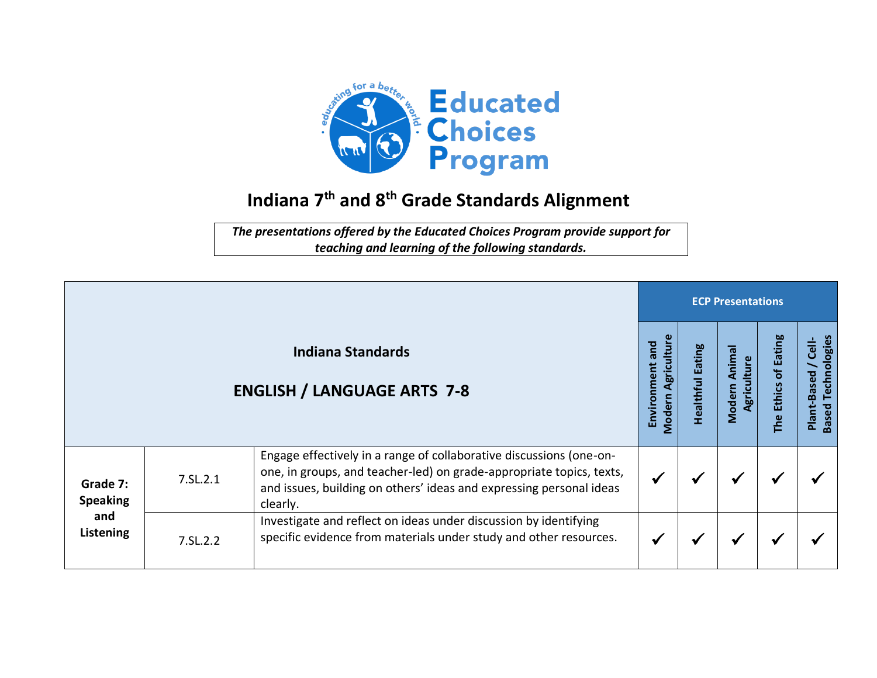

## **Indiana 7 th and 8 th Grade Standards Alignment**

*The presentations offered by the Educated Choices Program provide support for teaching and learning of the following standards.*

|                                                 |          |                                                                                                                                                                                                                                |                                          |                     |                                       | <b>ECP Presentations</b>          |                                                   |  |  |  |  |  |  |
|-------------------------------------------------|----------|--------------------------------------------------------------------------------------------------------------------------------------------------------------------------------------------------------------------------------|------------------------------------------|---------------------|---------------------------------------|-----------------------------------|---------------------------------------------------|--|--|--|--|--|--|
|                                                 |          | <b>Indiana Standards</b><br><b>ENGLISH / LANGUAGE ARTS 7-8</b>                                                                                                                                                                 | Agriculture<br>Environment and<br>Modern | Eating<br>Healthful | Anima<br>Agriculture<br><b>Modern</b> | of Eating<br><b>Ethics</b><br>The | <b>Based Technologies</b><br>Cell-<br>Plant-Based |  |  |  |  |  |  |
| Grade 7:<br><b>Speaking</b><br>and<br>Listening | 7.SL.2.1 | Engage effectively in a range of collaborative discussions (one-on-<br>one, in groups, and teacher-led) on grade-appropriate topics, texts,<br>and issues, building on others' ideas and expressing personal ideas<br>clearly. |                                          |                     |                                       |                                   |                                                   |  |  |  |  |  |  |
|                                                 | 7.SL.2.2 | Investigate and reflect on ideas under discussion by identifying<br>specific evidence from materials under study and other resources.                                                                                          |                                          |                     |                                       |                                   |                                                   |  |  |  |  |  |  |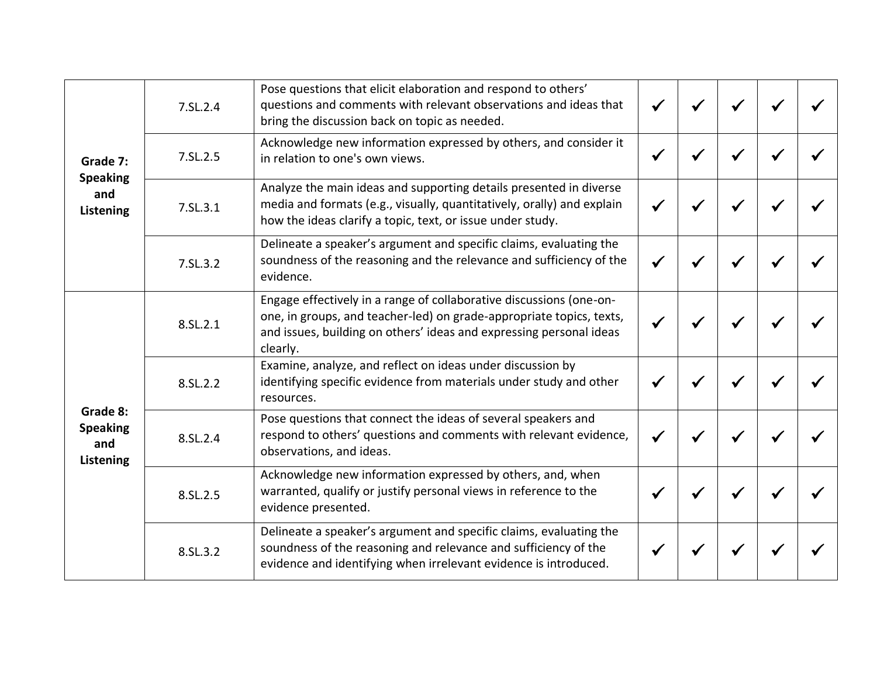| Grade 7:<br><b>Speaking</b><br>and<br>Listening | 7.SL.2.4 | Pose questions that elicit elaboration and respond to others'<br>questions and comments with relevant observations and ideas that<br>bring the discussion back on topic as needed.                                             |  |   |  |
|-------------------------------------------------|----------|--------------------------------------------------------------------------------------------------------------------------------------------------------------------------------------------------------------------------------|--|---|--|
|                                                 | 7.SL.2.5 | Acknowledge new information expressed by others, and consider it<br>in relation to one's own views.                                                                                                                            |  |   |  |
|                                                 | 7.SL.3.1 | Analyze the main ideas and supporting details presented in diverse<br>media and formats (e.g., visually, quantitatively, orally) and explain<br>how the ideas clarify a topic, text, or issue under study.                     |  | √ |  |
|                                                 | 7.SL.3.2 | Delineate a speaker's argument and specific claims, evaluating the<br>soundness of the reasoning and the relevance and sufficiency of the<br>evidence.                                                                         |  |   |  |
| Grade 8:<br><b>Speaking</b><br>and<br>Listening | 8.SL.2.1 | Engage effectively in a range of collaborative discussions (one-on-<br>one, in groups, and teacher-led) on grade-appropriate topics, texts,<br>and issues, building on others' ideas and expressing personal ideas<br>clearly. |  |   |  |
|                                                 | 8.SL.2.2 | Examine, analyze, and reflect on ideas under discussion by<br>identifying specific evidence from materials under study and other<br>resources.                                                                                 |  | √ |  |
|                                                 | 8.SL.2.4 | Pose questions that connect the ideas of several speakers and<br>respond to others' questions and comments with relevant evidence,<br>observations, and ideas.                                                                 |  |   |  |
|                                                 | 8.SL.2.5 | Acknowledge new information expressed by others, and, when<br>warranted, qualify or justify personal views in reference to the<br>evidence presented.                                                                          |  |   |  |
|                                                 | 8.SL.3.2 | Delineate a speaker's argument and specific claims, evaluating the<br>soundness of the reasoning and relevance and sufficiency of the<br>evidence and identifying when irrelevant evidence is introduced.                      |  |   |  |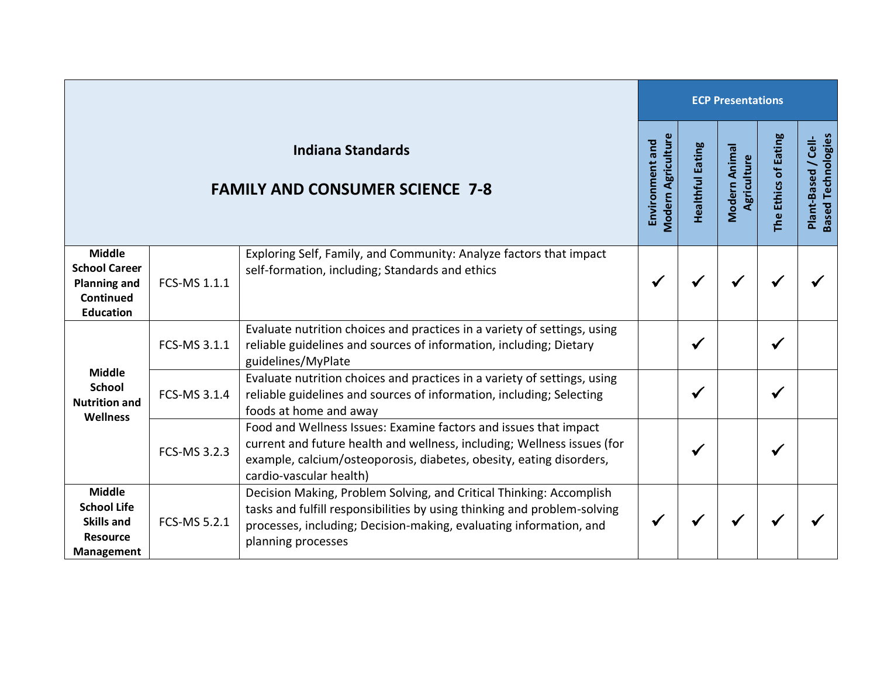|                                                                                                  |              | <b>ECP Presentations</b>                                                                                                                                                                                                                      |                                              |                         |                              |                      |                                                  |
|--------------------------------------------------------------------------------------------------|--------------|-----------------------------------------------------------------------------------------------------------------------------------------------------------------------------------------------------------------------------------------------|----------------------------------------------|-------------------------|------------------------------|----------------------|--------------------------------------------------|
| <b>Indiana Standards</b><br><b>FAMILY AND CONSUMER SCIENCE 7-8</b>                               |              |                                                                                                                                                                                                                                               | <b>Modern Agriculture</b><br>Environment and | <b>Healthful Eating</b> | Modern Animal<br>Agriculture | The Ethics of Eating | <b>Based Technologies</b><br>Plant-Based / Cell- |
| <b>Middle</b><br><b>School Career</b><br><b>Planning and</b><br>Continued<br><b>Education</b>    | FCS-MS 1.1.1 | Exploring Self, Family, and Community: Analyze factors that impact<br>self-formation, including; Standards and ethics                                                                                                                         | ✔                                            | $\checkmark$            | $\checkmark$                 | ✔                    |                                                  |
| <b>Middle</b><br><b>School</b><br><b>Nutrition and</b><br><b>Wellness</b>                        | FCS-MS 3.1.1 | Evaluate nutrition choices and practices in a variety of settings, using<br>reliable guidelines and sources of information, including; Dietary<br>guidelines/MyPlate                                                                          |                                              | $\checkmark$            |                              | $\checkmark$         |                                                  |
|                                                                                                  | FCS-MS 3.1.4 | Evaluate nutrition choices and practices in a variety of settings, using<br>reliable guidelines and sources of information, including; Selecting<br>foods at home and away                                                                    |                                              | ✔                       |                              | $\checkmark$         |                                                  |
|                                                                                                  | FCS-MS 3.2.3 | Food and Wellness Issues: Examine factors and issues that impact<br>current and future health and wellness, including; Wellness issues (for<br>example, calcium/osteoporosis, diabetes, obesity, eating disorders,<br>cardio-vascular health) |                                              | ✔                       |                              | ✔                    |                                                  |
| <b>Middle</b><br><b>School Life</b><br><b>Skills and</b><br><b>Resource</b><br><b>Management</b> | FCS-MS 5.2.1 | Decision Making, Problem Solving, and Critical Thinking: Accomplish<br>tasks and fulfill responsibilities by using thinking and problem-solving<br>processes, including; Decision-making, evaluating information, and<br>planning processes   |                                              | ✔                       | $\checkmark$                 | ✔                    |                                                  |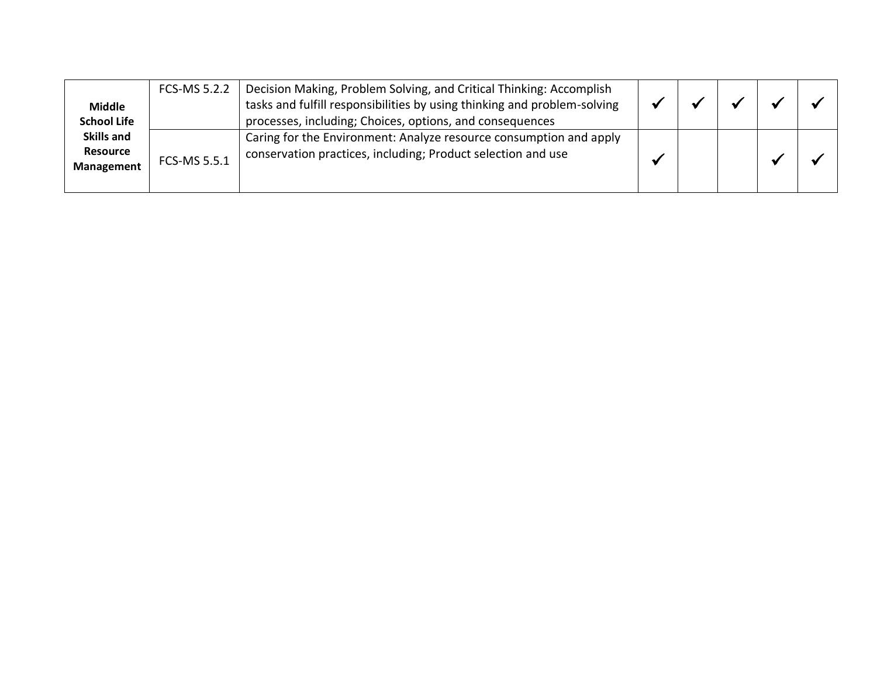| <b>Middle</b><br><b>School Life</b>                | FCS-MS 5.2.2 | Decision Making, Problem Solving, and Critical Thinking: Accomplish<br>tasks and fulfill responsibilities by using thinking and problem-solving<br>processes, including; Choices, options, and consequences |  |  |  |
|----------------------------------------------------|--------------|-------------------------------------------------------------------------------------------------------------------------------------------------------------------------------------------------------------|--|--|--|
| <b>Skills and</b><br><b>Resource</b><br>Management | FCS-MS 5.5.1 | Caring for the Environment: Analyze resource consumption and apply<br>conservation practices, including; Product selection and use                                                                          |  |  |  |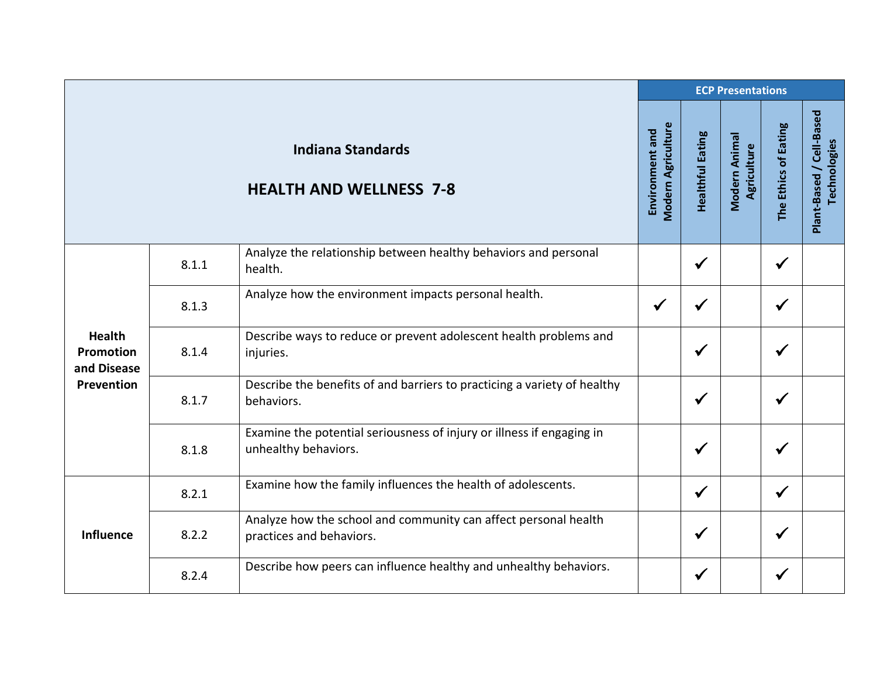|                                                                |       |                                                                                               |                                              |                         | <b>ECP Presentations</b>     |                      |                                                 |  |  |  |  |
|----------------------------------------------------------------|-------|-----------------------------------------------------------------------------------------------|----------------------------------------------|-------------------------|------------------------------|----------------------|-------------------------------------------------|--|--|--|--|
|                                                                |       | <b>Indiana Standards</b><br><b>HEALTH AND WELLNESS 7-8</b>                                    | <b>Modern Agriculture</b><br>Environment and | <b>Healthful Eating</b> | Modern Animal<br>Agriculture | The Ethics of Eating | Plant-Based / Cell-Based<br><b>Technologies</b> |  |  |  |  |
| <b>Health</b><br><b>Promotion</b><br>and Disease<br>Prevention | 8.1.1 | Analyze the relationship between healthy behaviors and personal<br>health.                    |                                              | $\checkmark$            |                              | $\checkmark$         |                                                 |  |  |  |  |
|                                                                | 8.1.3 | Analyze how the environment impacts personal health.                                          | $\checkmark$                                 | $\checkmark$            |                              | $\checkmark$         |                                                 |  |  |  |  |
|                                                                | 8.1.4 | Describe ways to reduce or prevent adolescent health problems and<br>injuries.                |                                              | $\checkmark$            |                              | $\checkmark$         |                                                 |  |  |  |  |
|                                                                | 8.1.7 | Describe the benefits of and barriers to practicing a variety of healthy<br>behaviors.        |                                              | $\checkmark$            |                              | $\checkmark$         |                                                 |  |  |  |  |
|                                                                | 8.1.8 | Examine the potential seriousness of injury or illness if engaging in<br>unhealthy behaviors. |                                              | $\checkmark$            |                              | $\checkmark$         |                                                 |  |  |  |  |
| <b>Influence</b>                                               | 8.2.1 | Examine how the family influences the health of adolescents.                                  |                                              | $\checkmark$            |                              | $\checkmark$         |                                                 |  |  |  |  |
|                                                                | 8.2.2 | Analyze how the school and community can affect personal health<br>practices and behaviors.   |                                              | $\checkmark$            |                              | $\checkmark$         |                                                 |  |  |  |  |
|                                                                | 8.2.4 | Describe how peers can influence healthy and unhealthy behaviors.                             |                                              | $\checkmark$            |                              | $\checkmark$         |                                                 |  |  |  |  |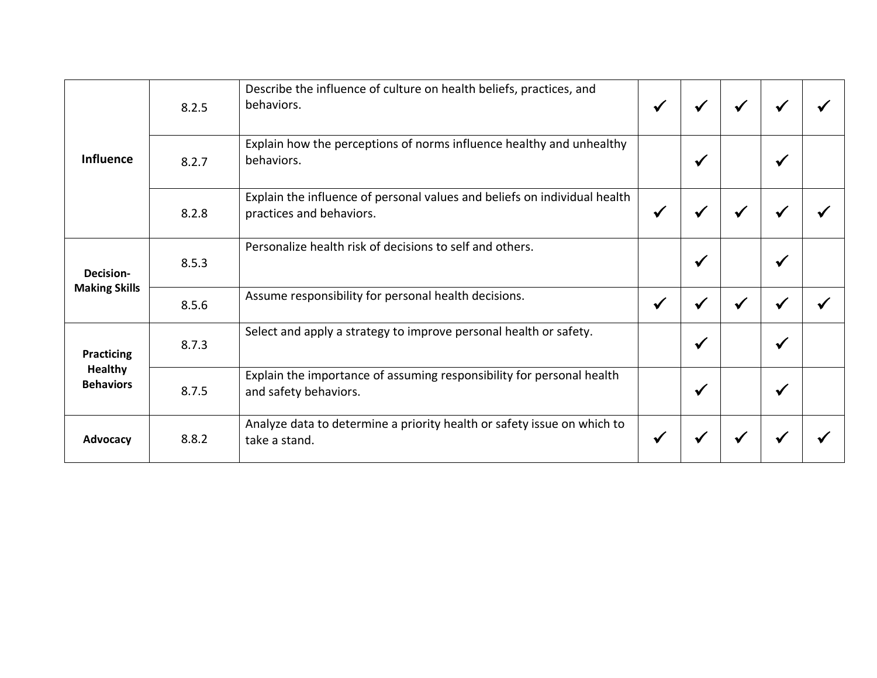| <b>Influence</b>                                        | 8.2.5 | Describe the influence of culture on health beliefs, practices, and<br>behaviors.                     | $\checkmark$ | √            | $\checkmark$ | √            |  |
|---------------------------------------------------------|-------|-------------------------------------------------------------------------------------------------------|--------------|--------------|--------------|--------------|--|
|                                                         | 8.2.7 | Explain how the perceptions of norms influence healthy and unhealthy<br>behaviors.                    |              | $\checkmark$ |              | $\checkmark$ |  |
|                                                         | 8.2.8 | Explain the influence of personal values and beliefs on individual health<br>practices and behaviors. | $\checkmark$ | √            | $\checkmark$ | √            |  |
| Decision-<br><b>Making Skills</b>                       | 8.5.3 | Personalize health risk of decisions to self and others.                                              |              | $\checkmark$ |              | $\checkmark$ |  |
|                                                         | 8.5.6 | Assume responsibility for personal health decisions.                                                  | $\checkmark$ | $\checkmark$ |              |              |  |
| <b>Practicing</b><br><b>Healthy</b><br><b>Behaviors</b> | 8.7.3 | Select and apply a strategy to improve personal health or safety.                                     |              | $\checkmark$ |              | ✔            |  |
|                                                         | 8.7.5 | Explain the importance of assuming responsibility for personal health<br>and safety behaviors.        |              | $\checkmark$ |              | $\checkmark$ |  |
| Advocacy                                                | 8.8.2 | Analyze data to determine a priority health or safety issue on which to<br>take a stand.              | $\checkmark$ | √            |              |              |  |